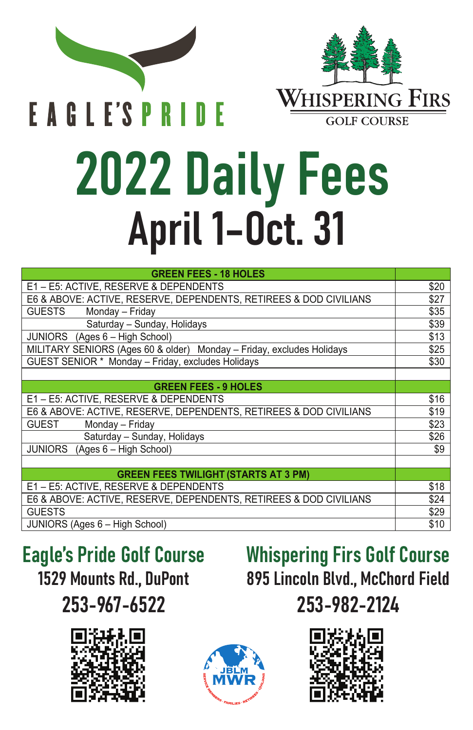

**EAGLE'S PRIDE** 



## 2022 Daily Fees April 1–Oct. 31

| <b>GREEN FEES - 18 HOLES</b>                                          |      |
|-----------------------------------------------------------------------|------|
| E1-E5: ACTIVE, RESERVE & DEPENDENTS                                   | \$20 |
| E6 & ABOVE: ACTIVE, RESERVE, DEPENDENTS, RETIREES & DOD CIVILIANS     | \$27 |
| <b>GUESTS</b><br>Monday - Friday                                      | \$35 |
| Saturday - Sunday, Holidays                                           | \$39 |
| JUNIORS (Ages 6 - High School)                                        | \$13 |
| MILITARY SENIORS (Ages 60 & older) Monday - Friday, excludes Holidays | \$25 |
| GUEST SENIOR * Monday - Friday, excludes Holidays                     | \$30 |
|                                                                       |      |
| <b>GREEN FEES - 9 HOLES</b>                                           |      |
| E1-E5: ACTIVE, RESERVE & DEPENDENTS                                   | \$16 |
| E6 & ABOVE: ACTIVE, RESERVE, DEPENDENTS, RETIREES & DOD CIVILIANS     | \$19 |
| <b>GUEST</b><br>Monday - Friday                                       | \$23 |
| Saturday - Sunday, Holidays                                           | \$26 |
| JUNIORS (Ages 6 - High School)                                        | \$9  |
|                                                                       |      |
| <b>GREEN FEES TWILIGHT (STARTS AT 3 PM)</b>                           |      |
| E1 - E5: ACTIVE. RESERVE & DEPENDENTS                                 | \$18 |
| E6 & ABOVE: ACTIVE, RESERVE, DEPENDENTS, RETIREES & DOD CIVILIANS     | \$24 |
| <b>GUESTS</b>                                                         | \$29 |
| JUNIORS (Ages 6 - High School)                                        | \$10 |

Eagle's Pride Golf Course 1529 Mounts Rd., DuPont 253-967-6522



Whispering Firs Golf Course 895 Lincoln Blvd., McChord Field 253-982-2124